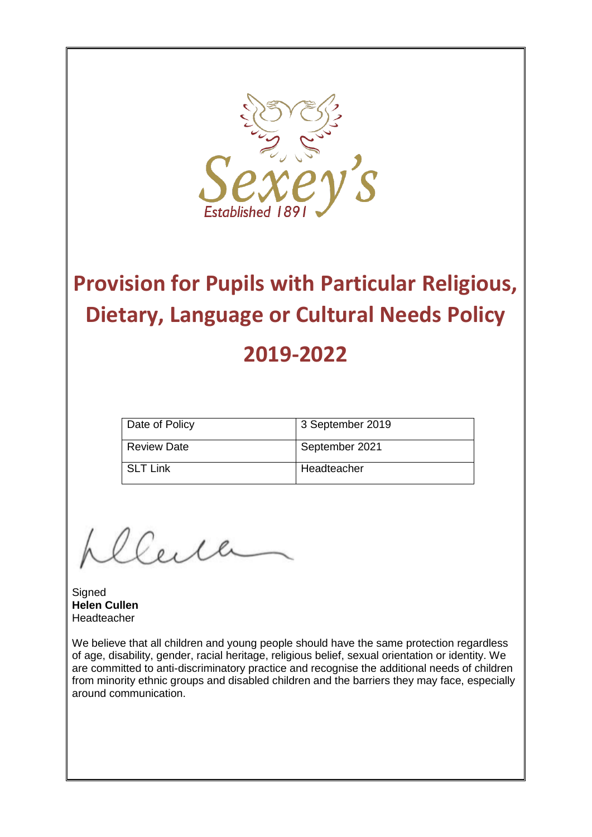

# **Provision for Pupils with Particular Religious, Dietary, Language or Cultural Needs Policy 2019-2022**

| Date of Policy | 3 September 2019 |
|----------------|------------------|
| l Review Date  | September 2021   |
| l SLT Link     | Headteacher      |

Ceille

**Signed Helen Cullen** Headteacher

We believe that all children and young people should have the same protection regardless of age, disability, gender, racial heritage, religious belief, sexual orientation or identity. We are committed to anti-discriminatory practice and recognise the additional needs of children from minority ethnic groups and disabled children and the barriers they may face, especially around communication.